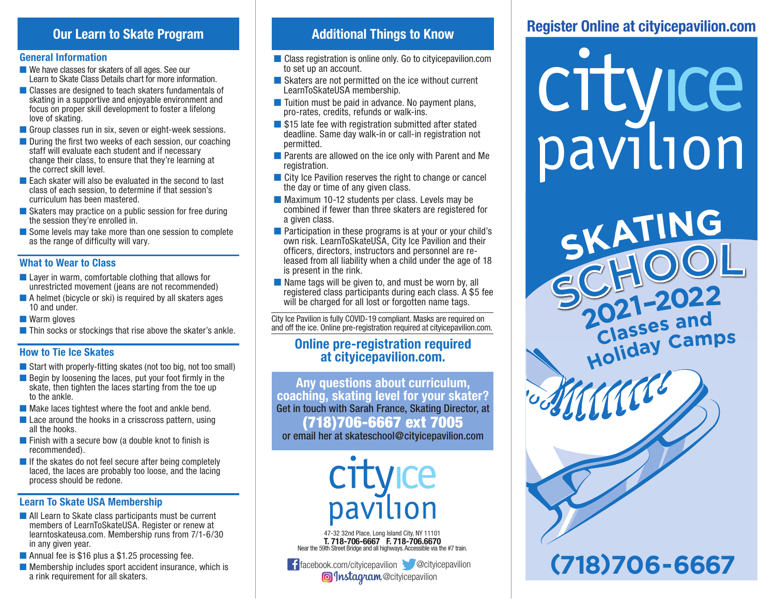# **Our Learn to Skate Program**

#### **General Information**

- We have classes for skaters of all ages. See our Learn to Skate Class Details chart for more information.
- Classes are designed to teach skaters fundamentals of skating in a supportive and enjoyable environment and focus on proper skill development to foster a lifelong love of skating.
- Group classes run in six, seven or eight-week sessions.
- During the first two weeks of each session, our coaching staff will evaluate each student and if necessary change their class, to ensure that they're learning at the correct skill level.
- Each skater will also be evaluated in the second to last class of each session, to determine if that session's curriculum has been mastered.
- Skaters may practice on a public session for free during the session they're enrolled in.
- Some levels may take more than one session to complete as the range of difficulty will vary.

#### **What to Wear to Class**

- Layer in warm, comfortable clothing that allows for unrestricted movement (jeans are not recommended)
- A helmet (bicycle or ski) is required by all skaters ages 10 and under.
- Warm gloves
- Thin socks or stockings that rise above the skater's ankle.

#### **How to Tie Ice Skates**

- $\blacksquare$  Start with properly-fitting skates (not too big, not too small)
- Begin by loosening the laces, put your foot firmly in the skate, then tighten the laces starting from the toe up to the ankle.
- Make laces tightest where the foot and ankle bend.
- Lace around the hooks in a crisscross pattern, using all the hooks.
- $\blacksquare$  Finish with a secure bow (a double knot to finish is recommended).
- If the skates do not feel secure after being completely laced, the laces are probably too loose, and the lacing process should be redone.

#### **Learn To Skate USA Membership**

- All Learn to Skate class participants must be current members of LearnToSkateUSA. Register or renew at learntoskateusa.com. Membership runs from 7/1-6/30 in any given year.
- Annual fee is \$16 plus a \$1.25 processing fee.
- $\blacksquare$  Membership includes sport accident insurance, which is a rink requirement for all skaters.

# **Additional Things to Know**

- Class registration is online only. Go to cityicepavilion.com to set up an account.
- Skaters are not permitted on the ice without current LearnToSkateUSA membership.
- Tuition must be paid in advance. No payment plans, pro-rates, credits, refunds or walk-ins.
- \$15 late fee with registration submitted after stated deadline. Same day walk-in or call-in registration not permitted.
- Parents are allowed on the ice only with Parent and Me registration.
- City Ice Pavilion reserves the right to change or cancel the day or time of any given class.
- Maximum 10-12 students per class. Levels may be combined if fewer than three skaters are registered for a given class.
- Participation in these programs is at your or your child's own risk. LearnToSkateUSA, City Ice Pavilion and their officers, directors, instructors and personnel are released from all liability when a child under the age of 18 is present in the rink.
- Name tags will be given to, and must be worn by, all registered class participants during each class. A \$5 fee will be charged for all lost or forgotten name tags.

City Ice Pavilion is fully COVID-19 compliant. Masks are required on and off the ice. Online pre-registration required at cityicepavilion.com.

## **Online pre-registration required at cityicepavilion.com.**

**Any questions about curriculum, coaching, skating level for your skater?** Get in touch with Sarah France, Skating Director, at (718)706-6667 ext 7005 or email her at skateschool@cityicepavilion.com

47-32 32nd Place, Long Island City, NY 11101 **T. 718-706-6667 F. 718-706.6670** Near the 59th Street Bridge and all highways. Accessible via the #7 train.

**f** facebook.com/cityicepavilion **@**cityicepavilion **@** *Instagram* @cityicepavilion

# **Register Online at cityicepavilion.com**

crtyice pavilion

**Holida<sup>y</sup> <sup>C</sup>amp<sup>s</sup> 2021–202<sup>2</sup> (718)706-6667 Classes** and **<sup>S</sup>KATIN<sup>G</sup> <sup>S</sup>CHOO<sup>L</sup>**